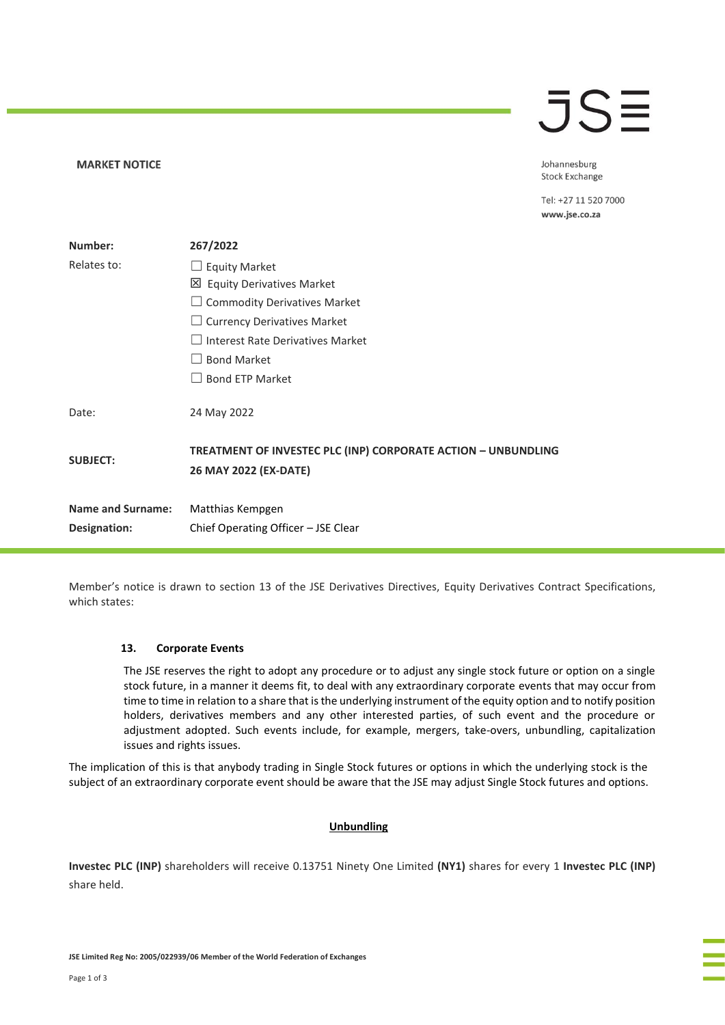# $\overline{\mathsf{J}}\mathsf{S}\overline{\Xi}$

**MARKET NOTICE** 

Johannesburg **Stock Exchange** 

Tel: +27 11 520 7000 www.jse.co.za

| Number:                  | 267/2022                                                                               |
|--------------------------|----------------------------------------------------------------------------------------|
| Relates to:              | <b>Equity Market</b>                                                                   |
|                          | 凶 Equity Derivatives Market                                                            |
|                          | <b>Commodity Derivatives Market</b>                                                    |
|                          | <b>Currency Derivatives Market</b>                                                     |
|                          | Interest Rate Derivatives Market                                                       |
|                          | <b>Bond Market</b>                                                                     |
|                          | <b>Bond ETP Market</b>                                                                 |
| Date:                    | 24 May 2022                                                                            |
| <b>SUBJECT:</b>          | TREATMENT OF INVESTEC PLC (INP) CORPORATE ACTION - UNBUNDLING<br>26 MAY 2022 (EX-DATE) |
| <b>Name and Surname:</b> | Matthias Kempgen                                                                       |
| Designation:             | Chief Operating Officer – JSE Clear                                                    |

Member's notice is drawn to section 13 of the JSE Derivatives Directives, Equity Derivatives Contract Specifications, which states:

# **13. Corporate Events**

The JSE reserves the right to adopt any procedure or to adjust any single stock future or option on a single stock future, in a manner it deems fit, to deal with any extraordinary corporate events that may occur from time to time in relation to a share that is the underlying instrument of the equity option and to notify position holders, derivatives members and any other interested parties, of such event and the procedure or adjustment adopted. Such events include, for example, mergers, take-overs, unbundling, capitalization issues and rights issues.

The implication of this is that anybody trading in Single Stock futures or options in which the underlying stock is the subject of an extraordinary corporate event should be aware that the JSE may adjust Single Stock futures and options.

# **Unbundling**

**Investec PLC (INP)** shareholders will receive 0.13751 Ninety One Limited **(NY1)** shares for every 1 **Investec PLC (INP)** share held.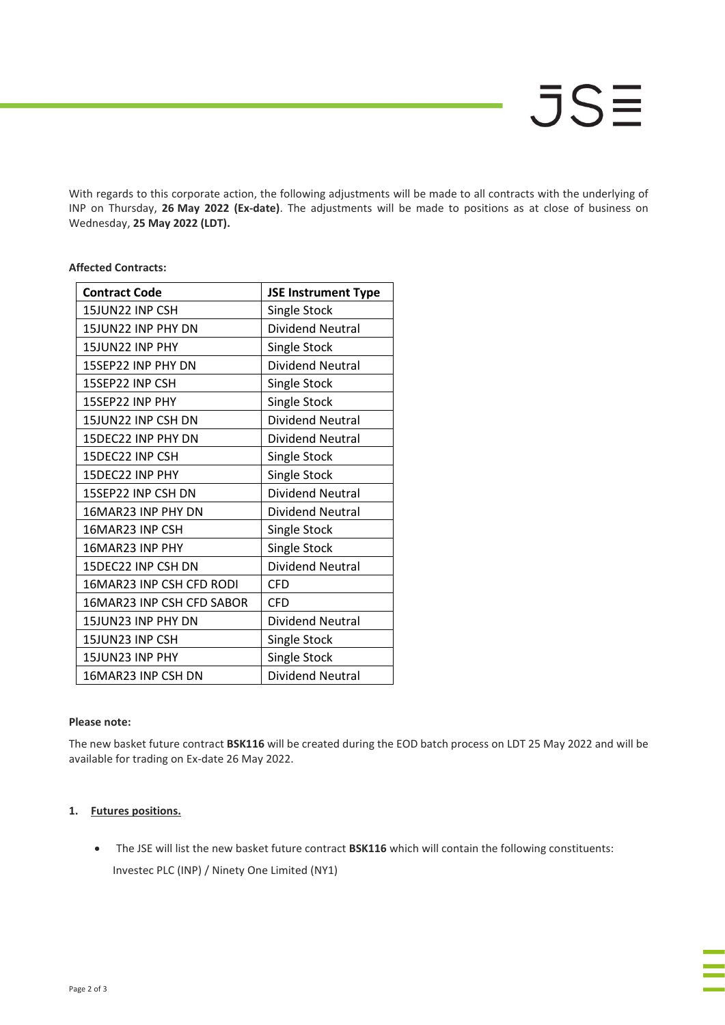With regards to this corporate action, the following adjustments will be made to all contracts with the underlying of INP on Thursday, **26 May 2022 (Ex-date)**. The adjustments will be made to positions as at close of business on Wednesday, **25 May 2022 (LDT).**

| <b>Contract Code</b>      | <b>JSE Instrument Type</b> |
|---------------------------|----------------------------|
| 15JUN22 INP CSH           | <b>Single Stock</b>        |
| 15JUN22 INP PHY DN        | Dividend Neutral           |
| 15JUN22 INP PHY           | Single Stock               |
| 15SEP22 INP PHY DN        | <b>Dividend Neutral</b>    |
| 15SEP22 INP CSH           | Single Stock               |
| 15SEP22 INP PHY           | Single Stock               |
| 15JUN22 INP CSH DN        | Dividend Neutral           |
| 15DEC22 INP PHY DN        | Dividend Neutral           |
| 15DEC22 INP CSH           | Single Stock               |
| 15DEC22 INP PHY           | <b>Single Stock</b>        |
| 15SEP22 INP CSH DN        | Dividend Neutral           |
| 16MAR23 INP PHY DN        | Dividend Neutral           |
| 16MAR23 INP CSH           | Single Stock               |
| 16MAR23 INP PHY           | Single Stock               |
| 15DEC22 INP CSH DN        | <b>Dividend Neutral</b>    |
| 16MAR23 INP CSH CFD RODI  | <b>CFD</b>                 |
| 16MAR23 INP CSH CFD SABOR | <b>CFD</b>                 |
| 15JUN23 INP PHY DN        | <b>Dividend Neutral</b>    |
| 15JUN23 INP CSH           | Single Stock               |
| 15JUN23 INP PHY           | Single Stock               |
| 16MAR23 INP CSH DN        | <b>Dividend Neutral</b>    |

# **Affected Contracts:**

# **Please note:**

The new basket future contract **BSK116** will be created during the EOD batch process on LDT 25 May 2022 and will be available for trading on Ex-date 26 May 2022.

# **1. Futures positions.**

• The JSE will list the new basket future contract **BSK116** which will contain the following constituents: Investec PLC (INP) / Ninety One Limited (NY1)